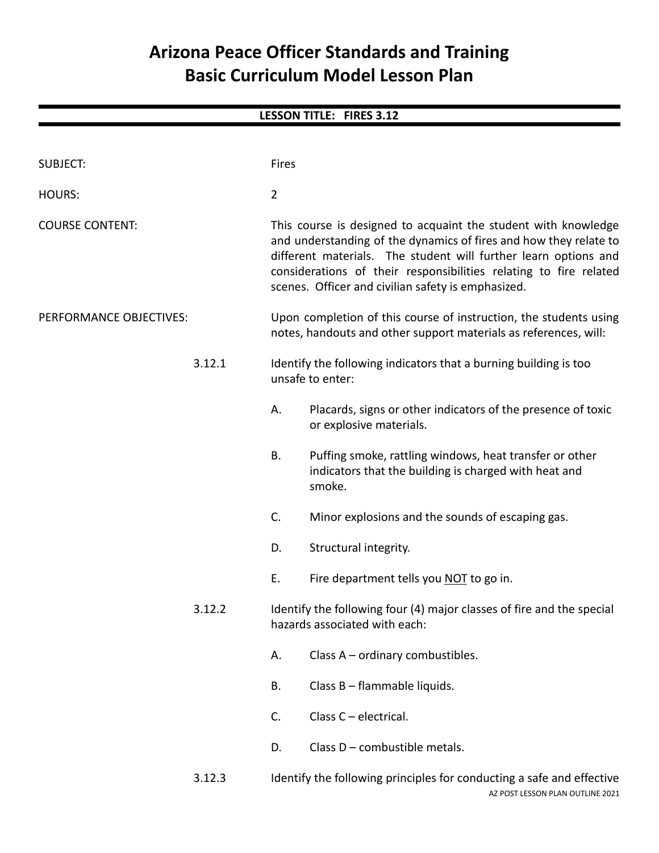# **Arizona Peace Officer Standards and Training Basic Curriculum Model Lesson Plan**

# **LESSON TITLE: FIRES 3.12**

| <b>SUBJECT:</b>         |        | Fires          |                                                                                                                                                                                                                                                                                                                                   |
|-------------------------|--------|----------------|-----------------------------------------------------------------------------------------------------------------------------------------------------------------------------------------------------------------------------------------------------------------------------------------------------------------------------------|
| <b>HOURS:</b>           |        | $\overline{2}$ |                                                                                                                                                                                                                                                                                                                                   |
| <b>COURSE CONTENT:</b>  |        |                | This course is designed to acquaint the student with knowledge<br>and understanding of the dynamics of fires and how they relate to<br>different materials. The student will further learn options and<br>considerations of their responsibilities relating to fire related<br>scenes. Officer and civilian safety is emphasized. |
| PERFORMANCE OBJECTIVES: |        |                | Upon completion of this course of instruction, the students using<br>notes, handouts and other support materials as references, will:                                                                                                                                                                                             |
|                         | 3.12.1 |                | Identify the following indicators that a burning building is too<br>unsafe to enter:                                                                                                                                                                                                                                              |
|                         |        | А.             | Placards, signs or other indicators of the presence of toxic<br>or explosive materials.                                                                                                                                                                                                                                           |
|                         |        | В.             | Puffing smoke, rattling windows, heat transfer or other<br>indicators that the building is charged with heat and<br>smoke.                                                                                                                                                                                                        |
|                         |        | C.             | Minor explosions and the sounds of escaping gas.                                                                                                                                                                                                                                                                                  |
|                         |        | D.             | Structural integrity.                                                                                                                                                                                                                                                                                                             |
|                         |        | Ε.             | Fire department tells you NOT to go in.                                                                                                                                                                                                                                                                                           |
|                         | 3.12.2 |                | Identify the following four (4) major classes of fire and the special<br>hazards associated with each:                                                                                                                                                                                                                            |
|                         |        | Α.             | Class A - ordinary combustibles.                                                                                                                                                                                                                                                                                                  |
|                         |        | В.             | Class B - flammable liquids.                                                                                                                                                                                                                                                                                                      |
|                         |        | C.             | Class $C$ – electrical.                                                                                                                                                                                                                                                                                                           |
|                         |        | D.             | Class D - combustible metals.                                                                                                                                                                                                                                                                                                     |
|                         | 3.12.3 |                | Identify the following principles for conducting a safe and effective                                                                                                                                                                                                                                                             |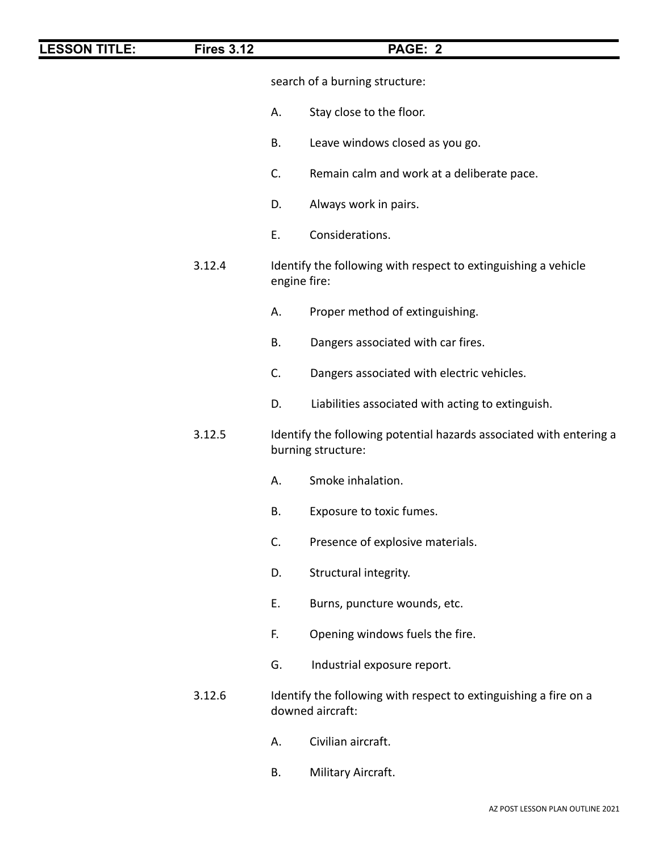| <b>LESSON TITLE:</b> | <b>Fires 3.12</b> | PAGE: 2                                                                                   |
|----------------------|-------------------|-------------------------------------------------------------------------------------------|
|                      |                   | search of a burning structure:                                                            |
|                      |                   | Stay close to the floor.<br>А.                                                            |
|                      |                   | Leave windows closed as you go.<br>В.                                                     |
|                      |                   | C.<br>Remain calm and work at a deliberate pace.                                          |
|                      |                   | Always work in pairs.<br>D.                                                               |
|                      |                   | Considerations.<br>E.                                                                     |
|                      | 3.12.4            | Identify the following with respect to extinguishing a vehicle<br>engine fire:            |
|                      |                   | Proper method of extinguishing.<br>А.                                                     |
|                      |                   | Dangers associated with car fires.<br>В.                                                  |
|                      |                   | C.<br>Dangers associated with electric vehicles.                                          |
|                      |                   | Liabilities associated with acting to extinguish.<br>D.                                   |
|                      | 3.12.5            | Identify the following potential hazards associated with entering a<br>burning structure: |
|                      |                   | Smoke inhalation.<br>А.                                                                   |
|                      |                   | Β.<br>Exposure to toxic fumes.                                                            |
|                      |                   | Presence of explosive materials.<br>C.                                                    |
|                      |                   | Structural integrity.<br>D.                                                               |
|                      |                   | Ε.<br>Burns, puncture wounds, etc.                                                        |
|                      |                   | Opening windows fuels the fire.<br>F.                                                     |
|                      |                   | G.<br>Industrial exposure report.                                                         |
|                      | 3.12.6            | Identify the following with respect to extinguishing a fire on a<br>downed aircraft:      |
|                      |                   | Civilian aircraft.<br>А.                                                                  |
|                      |                   | Military Aircraft.<br>В.                                                                  |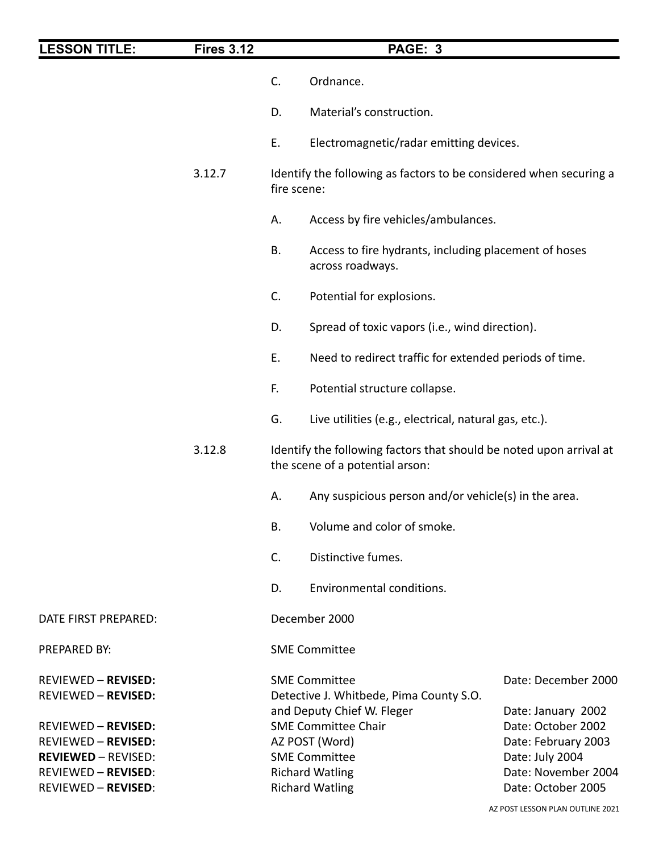| <b>LESSON TITLE:</b>                                     | <b>Fires 3.12</b> |                                                                                                                                            | PAGE: 3                                                                   |  |
|----------------------------------------------------------|-------------------|--------------------------------------------------------------------------------------------------------------------------------------------|---------------------------------------------------------------------------|--|
|                                                          |                   | C.                                                                                                                                         | Ordnance.                                                                 |  |
|                                                          |                   | D.                                                                                                                                         | Material's construction.                                                  |  |
|                                                          |                   | Ε.                                                                                                                                         | Electromagnetic/radar emitting devices.                                   |  |
|                                                          | 3.12.7            | Identify the following as factors to be considered when securing a<br>fire scene:                                                          |                                                                           |  |
|                                                          |                   | А.                                                                                                                                         | Access by fire vehicles/ambulances.                                       |  |
|                                                          |                   | <b>B.</b>                                                                                                                                  | Access to fire hydrants, including placement of hoses<br>across roadways. |  |
|                                                          |                   | C.                                                                                                                                         | Potential for explosions.                                                 |  |
|                                                          |                   | D.                                                                                                                                         | Spread of toxic vapors (i.e., wind direction).                            |  |
|                                                          |                   | E.                                                                                                                                         | Need to redirect traffic for extended periods of time.                    |  |
|                                                          |                   | F.                                                                                                                                         | Potential structure collapse.                                             |  |
|                                                          |                   | G.                                                                                                                                         | Live utilities (e.g., electrical, natural gas, etc.).                     |  |
|                                                          | 3.12.8            | Identify the following factors that should be noted upon arrival at<br>the scene of a potential arson:                                     |                                                                           |  |
|                                                          |                   | А.                                                                                                                                         | Any suspicious person and/or vehicle(s) in the area.                      |  |
|                                                          |                   | В.                                                                                                                                         | Volume and color of smoke.                                                |  |
|                                                          |                   | C.                                                                                                                                         | Distinctive fumes.                                                        |  |
|                                                          |                   | D.                                                                                                                                         | Environmental conditions.                                                 |  |
| DATE FIRST PREPARED:                                     |                   |                                                                                                                                            | December 2000                                                             |  |
| PREPARED BY:                                             |                   |                                                                                                                                            | <b>SME Committee</b>                                                      |  |
| <b>REVIEWED - REVISED:</b><br><b>REVIEWED - REVISED:</b> |                   | Date: December 2000<br><b>SME Committee</b><br>Detective J. Whitbede, Pima County S.O.<br>and Deputy Chief W. Fleger<br>Date: January 2002 |                                                                           |  |
| <b>REVIEWED - REVISED:</b>                               |                   | <b>SME Committee Chair</b><br>Date: October 2002                                                                                           |                                                                           |  |
| <b>REVIEWED - REVISED:</b><br><b>REVIEWED - REVISED:</b> |                   | AZ POST (Word)<br>Date: February 2003                                                                                                      |                                                                           |  |
| <b>REVIEWED - REVISED:</b><br><b>REVIEWED - REVISED:</b> |                   | <b>SME Committee</b><br>Date: July 2004<br><b>Richard Watling</b><br>Date: November 2004<br><b>Richard Watling</b><br>Date: October 2005   |                                                                           |  |
|                                                          |                   |                                                                                                                                            |                                                                           |  |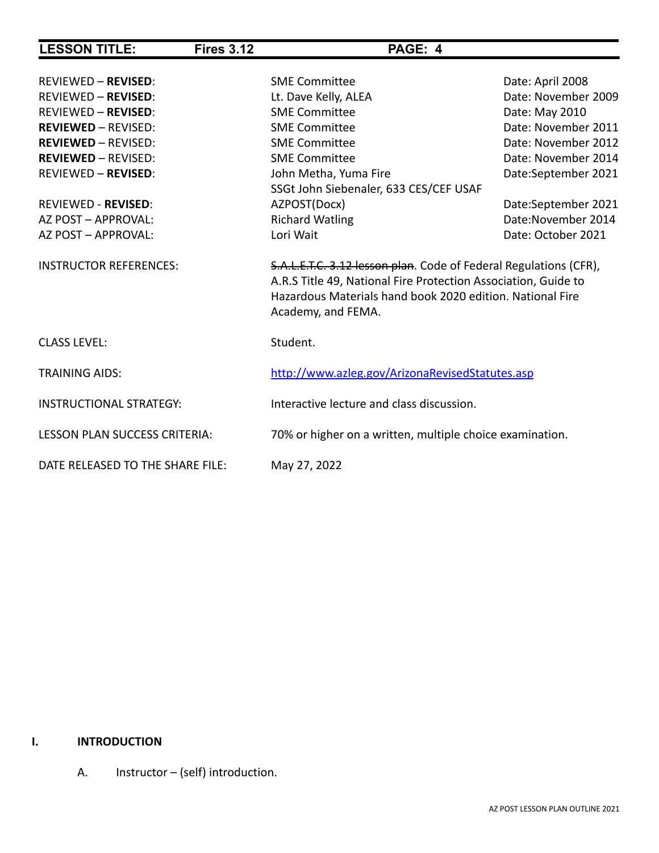| <b>LESSON TITLE:</b>             | <b>Fires 3.12</b> | PAGE: 4                                                                                                                                                                                                                |                     |
|----------------------------------|-------------------|------------------------------------------------------------------------------------------------------------------------------------------------------------------------------------------------------------------------|---------------------|
|                                  |                   |                                                                                                                                                                                                                        |                     |
| <b>REVIEWED - REVISED:</b>       |                   | <b>SME Committee</b>                                                                                                                                                                                                   | Date: April 2008    |
| <b>REVIEWED - REVISED:</b>       |                   | Lt. Dave Kelly, ALEA                                                                                                                                                                                                   | Date: November 2009 |
| <b>REVIEWED - REVISED:</b>       |                   | <b>SME Committee</b>                                                                                                                                                                                                   | Date: May 2010      |
| <b>REVIEWED - REVISED:</b>       |                   | <b>SME Committee</b>                                                                                                                                                                                                   | Date: November 2011 |
| <b>REVIEWED - REVISED:</b>       |                   | <b>SME Committee</b>                                                                                                                                                                                                   | Date: November 2012 |
| <b>REVIEWED - REVISED:</b>       |                   | <b>SME Committee</b>                                                                                                                                                                                                   | Date: November 2014 |
| <b>REVIEWED - REVISED:</b>       |                   | John Metha, Yuma Fire                                                                                                                                                                                                  | Date:September 2021 |
|                                  |                   | SSGt John Siebenaler, 633 CES/CEF USAF                                                                                                                                                                                 |                     |
| <b>REVIEWED - REVISED:</b>       |                   | AZPOST(Docx)                                                                                                                                                                                                           | Date:September 2021 |
| AZ POST - APPROVAL:              |                   | <b>Richard Watling</b>                                                                                                                                                                                                 | Date: November 2014 |
| AZ POST - APPROVAL:              |                   | Lori Wait                                                                                                                                                                                                              | Date: October 2021  |
| <b>INSTRUCTOR REFERENCES:</b>    |                   | S.A.L.E.T.C. 3.12 lesson plan. Code of Federal Regulations (CFR),<br>A.R.S Title 49, National Fire Protection Association, Guide to<br>Hazardous Materials hand book 2020 edition. National Fire<br>Academy, and FEMA. |                     |
| <b>CLASS LEVEL:</b>              |                   | Student.                                                                                                                                                                                                               |                     |
| <b>TRAINING AIDS:</b>            |                   | http://www.azleg.gov/ArizonaRevisedStatutes.asp                                                                                                                                                                        |                     |
| <b>INSTRUCTIONAL STRATEGY:</b>   |                   | Interactive lecture and class discussion.                                                                                                                                                                              |                     |
| LESSON PLAN SUCCESS CRITERIA:    |                   | 70% or higher on a written, multiple choice examination.                                                                                                                                                               |                     |
| DATE RELEASED TO THE SHARE FILE: |                   | May 27, 2022                                                                                                                                                                                                           |                     |

## **I. INTRODUCTION**

A. Instructor – (self) introduction.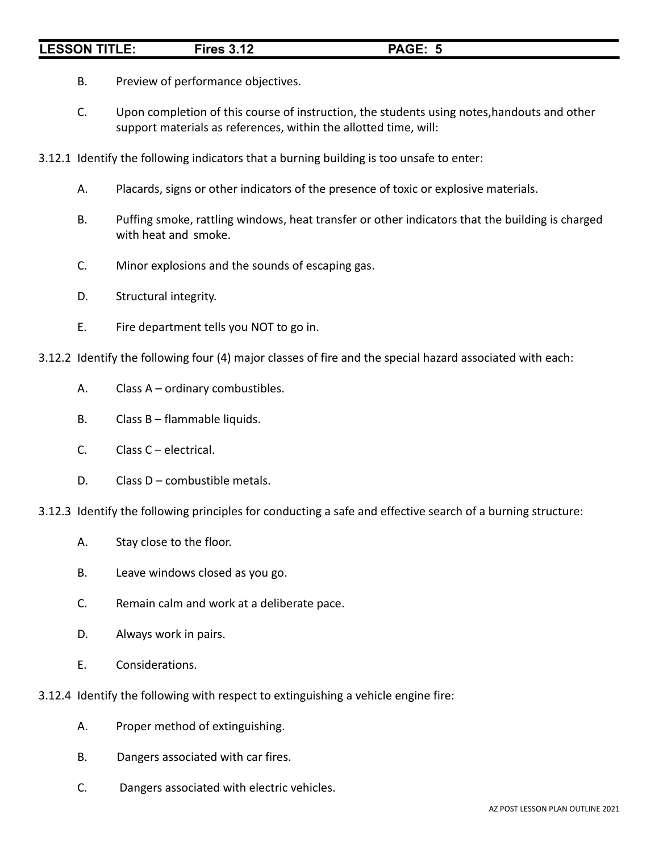- B. Preview of performance objectives.
- C. Upon completion of this course of instruction, the students using notes,handouts and other support materials as references, within the allotted time, will:
- 3.12.1 Identify the following indicators that a burning building is too unsafe to enter:
	- A. Placards, signs or other indicators of the presence of toxic or explosive materials.
	- B. Puffing smoke, rattling windows, heat transfer or other indicators that the building is charged with heat and smoke.
	- C. Minor explosions and the sounds of escaping gas.
	- D. Structural integrity.
	- E. Fire department tells you NOT to go in.
- 3.12.2 Identify the following four (4) major classes of fire and the special hazard associated with each:
	- A. Class A ordinary combustibles.
	- B. Class B flammable liquids.
	- C. Class C electrical.
	- D. Class D combustible metals.
- 3.12.3 Identify the following principles for conducting a safe and effective search of a burning structure:
	- A. Stay close to the floor.
	- B. Leave windows closed as you go.
	- C. Remain calm and work at a deliberate pace.
	- D. Always work in pairs.
	- E. Considerations.
- 3.12.4 Identify the following with respect to extinguishing a vehicle engine fire:
	- A. Proper method of extinguishing.
	- B. Dangers associated with car fires.
	- C. Dangers associated with electric vehicles.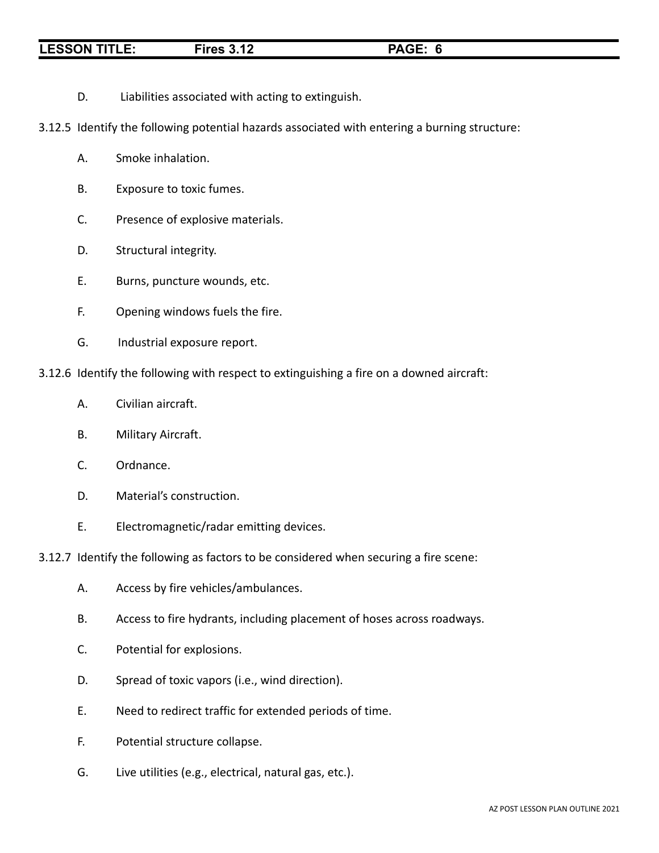D. Liabilities associated with acting to extinguish.

3.12.5 Identify the following potential hazards associated with entering a burning structure:

- A. Smoke inhalation.
- B. Exposure to toxic fumes.
- C. Presence of explosive materials.
- D. Structural integrity.
- E. Burns, puncture wounds, etc.
- F. Opening windows fuels the fire.
- G. Industrial exposure report.
- 3.12.6 Identify the following with respect to extinguishing a fire on a downed aircraft:
	- A. Civilian aircraft.
	- B. Military Aircraft.
	- C. Ordnance.
	- D. Material's construction.
	- E. Electromagnetic/radar emitting devices.
- 3.12.7 Identify the following as factors to be considered when securing a fire scene:
	- A. Access by fire vehicles/ambulances.
	- B. Access to fire hydrants, including placement of hoses across roadways.
	- C. Potential for explosions.
	- D. Spread of toxic vapors (i.e., wind direction).
	- E. Need to redirect traffic for extended periods of time.
	- F. Potential structure collapse.
	- G. Live utilities (e.g., electrical, natural gas, etc.).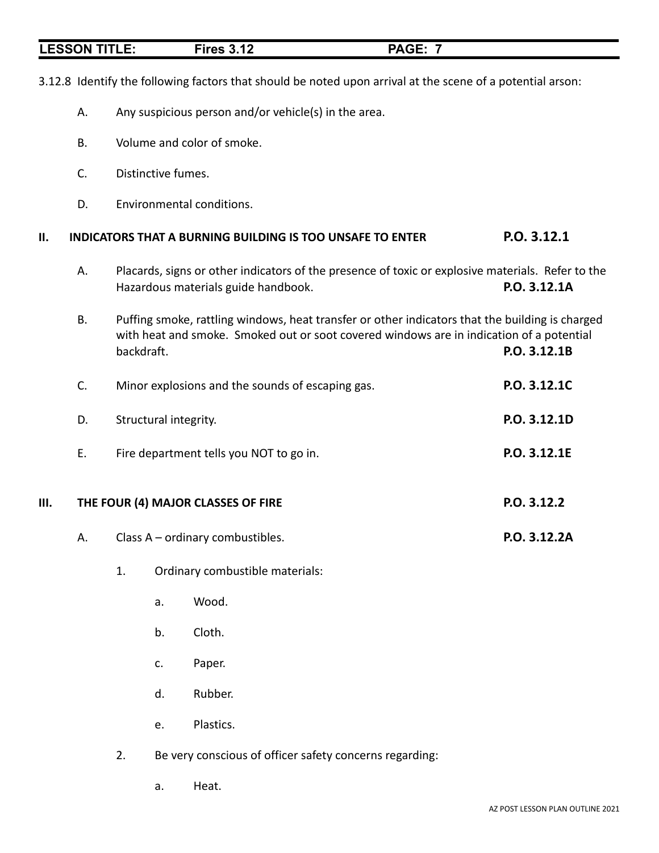|    | <b>ESSON TITLE:</b> |            |                       | <b>Fires 3.12</b>                                    | <b>PAGE: 7</b>                                                                                                                                                                              |              |
|----|---------------------|------------|-----------------------|------------------------------------------------------|---------------------------------------------------------------------------------------------------------------------------------------------------------------------------------------------|--------------|
|    |                     |            |                       |                                                      | 3.12.8 Identify the following factors that should be noted upon arrival at the scene of a potential arson:                                                                                  |              |
|    | А.                  |            |                       | Any suspicious person and/or vehicle(s) in the area. |                                                                                                                                                                                             |              |
|    | <b>B.</b>           |            |                       | Volume and color of smoke.                           |                                                                                                                                                                                             |              |
|    | C.                  |            | Distinctive fumes.    |                                                      |                                                                                                                                                                                             |              |
|    | D.                  |            |                       | Environmental conditions.                            |                                                                                                                                                                                             |              |
| П. |                     |            |                       |                                                      | <b>INDICATORS THAT A BURNING BUILDING IS TOO UNSAFE TO ENTER</b>                                                                                                                            | P.O. 3.12.1  |
|    | А.                  |            |                       | Hazardous materials guide handbook.                  | Placards, signs or other indicators of the presence of toxic or explosive materials. Refer to the                                                                                           | P.O. 3.12.1A |
|    | B.                  | backdraft. |                       |                                                      | Puffing smoke, rattling windows, heat transfer or other indicators that the building is charged<br>with heat and smoke. Smoked out or soot covered windows are in indication of a potential | P.O. 3.12.1B |
|    | C.                  |            |                       | Minor explosions and the sounds of escaping gas.     |                                                                                                                                                                                             | P.O. 3.12.1C |
|    | D.                  |            | Structural integrity. |                                                      |                                                                                                                                                                                             | P.O. 3.12.1D |
|    | Ε.                  |            |                       | Fire department tells you NOT to go in.              |                                                                                                                                                                                             | P.O. 3.12.1E |
| Ш. |                     |            |                       | THE FOUR (4) MAJOR CLASSES OF FIRE                   |                                                                                                                                                                                             | P.O. 3.12.2  |
|    | А.                  |            |                       | Class A - ordinary combustibles.                     |                                                                                                                                                                                             | P.O. 3.12.2A |
|    |                     | 1.         |                       | Ordinary combustible materials:                      |                                                                                                                                                                                             |              |
|    |                     |            | a.                    | Wood.                                                |                                                                                                                                                                                             |              |
|    |                     |            | b.                    | Cloth.                                               |                                                                                                                                                                                             |              |
|    |                     |            | c.                    | Paper.                                               |                                                                                                                                                                                             |              |
|    |                     |            | d.                    | Rubber.                                              |                                                                                                                                                                                             |              |
|    |                     |            | e.                    | Plastics.                                            |                                                                                                                                                                                             |              |

2. Be very conscious of officer safety concerns regarding:

a. Heat.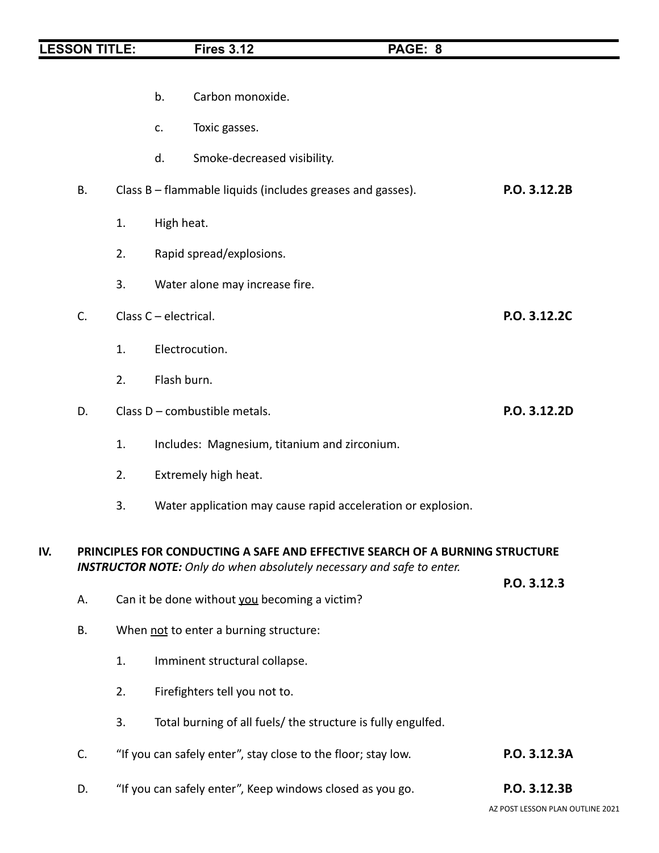|     |    |    | b.                    | Carbon monoxide.                                                             |              |
|-----|----|----|-----------------------|------------------------------------------------------------------------------|--------------|
|     |    |    | c.                    | Toxic gasses.                                                                |              |
|     |    |    | d.                    | Smoke-decreased visibility.                                                  |              |
|     | В. |    |                       | Class B – flammable liquids (includes greases and gasses).                   | P.O. 3.12.2B |
|     |    | 1. | High heat.            |                                                                              |              |
|     |    | 2. |                       | Rapid spread/explosions.                                                     |              |
|     |    | 3. |                       | Water alone may increase fire.                                               |              |
|     | C. |    | Class C - electrical. |                                                                              | P.O. 3.12.2C |
|     |    | 1. |                       | Electrocution.                                                               |              |
|     |    | 2. | Flash burn.           |                                                                              |              |
|     | D. |    |                       | Class D - combustible metals.                                                | P.O. 3.12.2D |
|     |    |    |                       |                                                                              |              |
|     |    | 1. |                       | Includes: Magnesium, titanium and zirconium.                                 |              |
|     |    | 2. |                       | Extremely high heat.                                                         |              |
|     |    | 3. |                       | Water application may cause rapid acceleration or explosion.                 |              |
| IV. |    |    |                       | PRINCIPLES FOR CONDUCTING A SAFE AND EFFECTIVE SEARCH OF A BURNING STRUCTURE |              |
|     |    |    |                       | <b>INSTRUCTOR NOTE:</b> Only do when absolutely necessary and safe to enter. |              |
|     | А. |    |                       | Can it be done without you becoming a victim?                                | P.O. 3.12.3  |
|     | В. |    |                       | When not to enter a burning structure:                                       |              |
|     |    | 1. |                       | Imminent structural collapse.                                                |              |
|     |    | 2. |                       | Firefighters tell you not to.                                                |              |
|     |    | 3. |                       | Total burning of all fuels/ the structure is fully engulfed.                 |              |
|     | C. |    |                       | "If you can safely enter", stay close to the floor; stay low.                | P.O. 3.12.3A |
|     | D. |    |                       | "If you can safely enter", Keep windows closed as you go.                    | P.O. 3.12.3B |
|     |    |    |                       |                                                                              |              |

AZ POST LESSON PLAN OUTLINE 2021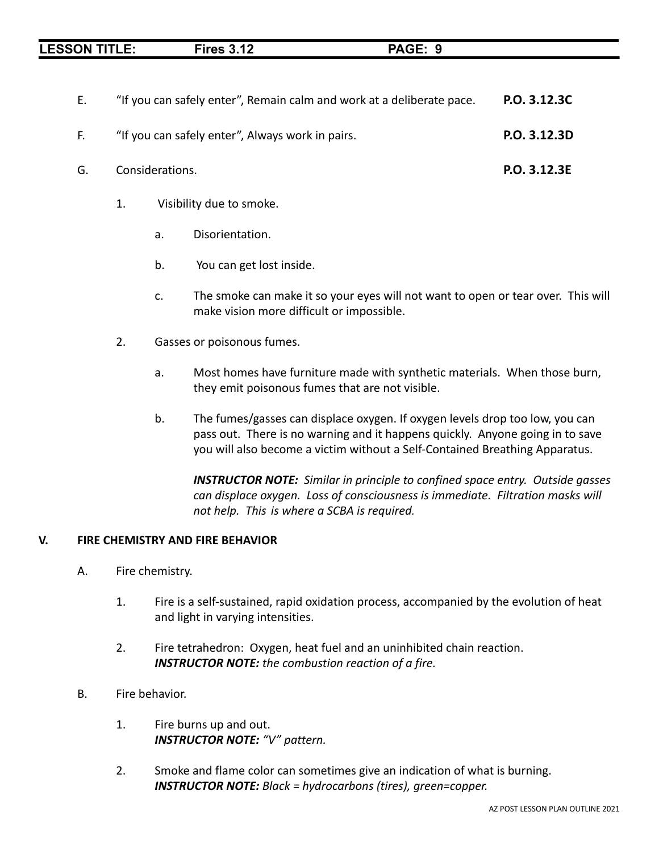| <b>LESSON TITLE:</b> | Firac 3 12<br>. J. IZ<br>≂- |  |
|----------------------|-----------------------------|--|
|                      |                             |  |

| E. | "If you can safely enter", Remain calm and work at a deliberate pace. | P.O. 3.12.3C |
|----|-----------------------------------------------------------------------|--------------|
| E. | "If you can safely enter", Always work in pairs.                      | P.O. 3.12.3D |
| G. | Considerations.                                                       | P.O. 3.12.3E |

- 1. Visibility due to smoke.
	- a. Disorientation.
	- b. You can get lost inside.
	- c. The smoke can make it so your eyes will not want to open or tear over. This will make vision more difficult or impossible.
- 2. Gasses or poisonous fumes.
	- a. Most homes have furniture made with synthetic materials. When those burn, they emit poisonous fumes that are not visible.
	- b. The fumes/gasses can displace oxygen. If oxygen levels drop too low, you can pass out. There is no warning and it happens quickly. Anyone going in to save you will also become a victim without a Self-Contained Breathing Apparatus.

*INSTRUCTOR NOTE: Similar in principle to confined space entry. Outside gasses can displace oxygen. Loss of consciousness is immediate. Filtration masks will not help. This is where a SCBA is required.*

### **V. FIRE CHEMISTRY AND FIRE BEHAVIOR**

- A. Fire chemistry.
	- 1. Fire is a self-sustained, rapid oxidation process, accompanied by the evolution of heat and light in varying intensities.
	- 2. Fire tetrahedron: Oxygen, heat fuel and an uninhibited chain reaction. *INSTRUCTOR NOTE: the combustion reaction of a fire.*
- B. Fire behavior.
	- 1. Fire burns up and out. *INSTRUCTOR NOTE: "V" pattern.*
	- 2. Smoke and flame color can sometimes give an indication of what is burning. *INSTRUCTOR NOTE: Black = hydrocarbons (tires), green=copper.*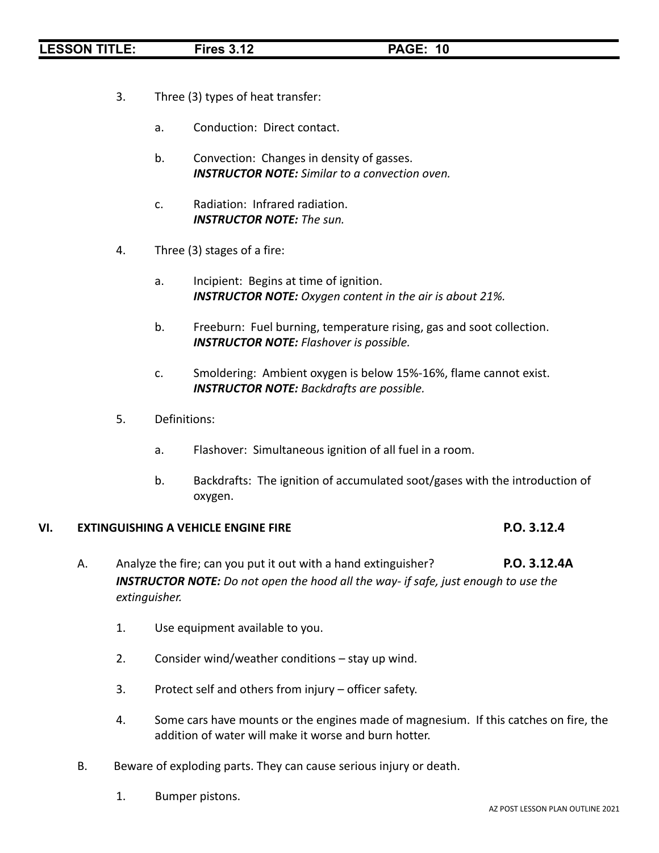- 3. Three (3) types of heat transfer:
	- a. Conduction: Direct contact.
	- b. Convection: Changes in density of gasses. *INSTRUCTOR NOTE: Similar to a convection oven.*
	- c. Radiation: Infrared radiation. *INSTRUCTOR NOTE: The sun.*
- 4. Three (3) stages of a fire:
	- a. Incipient: Begins at time of ignition. *INSTRUCTOR NOTE: Oxygen content in the air is about 21%.*
	- b. Freeburn: Fuel burning, temperature rising, gas and soot collection. *INSTRUCTOR NOTE: Flashover is possible.*
	- c. Smoldering: Ambient oxygen is below 15%-16%, flame cannot exist. *INSTRUCTOR NOTE: Backdrafts are possible.*
- 5. Definitions:
	- a. Flashover: Simultaneous ignition of all fuel in a room.
	- b. Backdrafts: The ignition of accumulated soot/gases with the introduction of oxygen.

### **VI. EXTINGUISHING A VEHICLE ENGINE FIRE P.O. 3.12.4**

- A. Analyze the fire; can you put it out with a hand extinguisher? **P.O. 3.12.4A** *INSTRUCTOR NOTE: Do not open the hood all the way- if safe, just enough to use the extinguisher.*
	- 1. Use equipment available to you.
	- 2. Consider wind/weather conditions stay up wind.
	- 3. Protect self and others from injury officer safety.
	- 4. Some cars have mounts or the engines made of magnesium. If this catches on fire, the addition of water will make it worse and burn hotter.
- B. Beware of exploding parts. They can cause serious injury or death.
	- 1. Bumper pistons.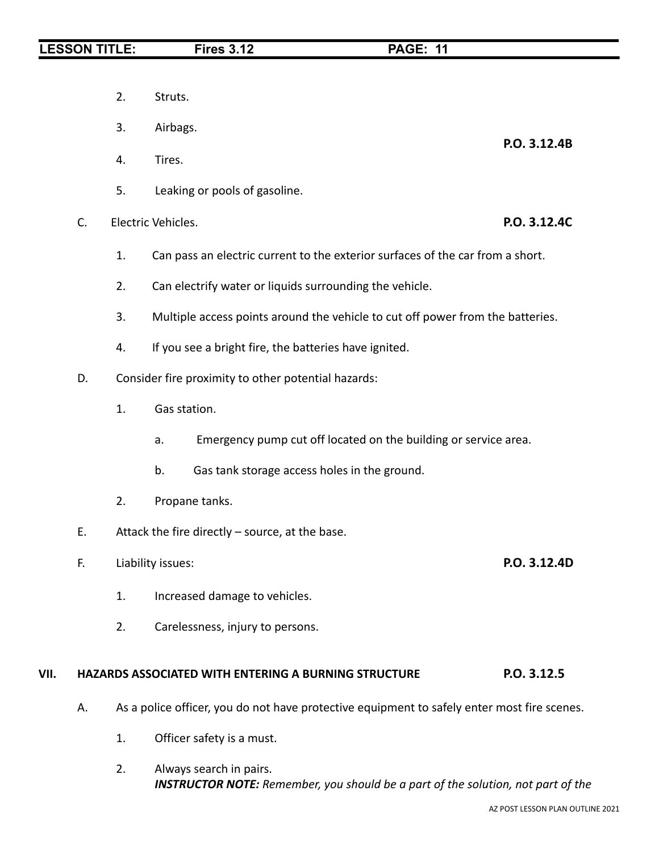**P.O. 3.12.4B**

- 2. Struts.
- 3. Airbags.
- 4. Tires.
- 5. Leaking or pools of gasoline.
- C. Electric Vehicles. **P.O. 3.12.4C**
	- 1. Can pass an electric current to the exterior surfaces of the car from a short.
	- 2. Can electrify water or liquids surrounding the vehicle.
	- 3. Multiple access points around the vehicle to cut off power from the batteries.
	- 4. If you see a bright fire, the batteries have ignited.
- D. Consider fire proximity to other potential hazards:
	- 1. Gas station.
		- a. Emergency pump cut off located on the building or service area.
		- b. Gas tank storage access holes in the ground.
	- 2. Propane tanks.
- E. Attack the fire directly source, at the base.
- F. Liability issues: **P.O. 3.12.4D**
	- 1. Increased damage to vehicles.
	- 2. Carelessness, injury to persons.

### **VII. HAZARDS ASSOCIATED WITH ENTERING A BURNING STRUCTURE P.O. 3.12.5**

- A. As a police officer, you do not have protective equipment to safely enter most fire scenes.
	- 1. Officer safety is a must.
	- 2. Always search in pairs. *INSTRUCTOR NOTE: Remember, you should be a part of the solution, not part of the*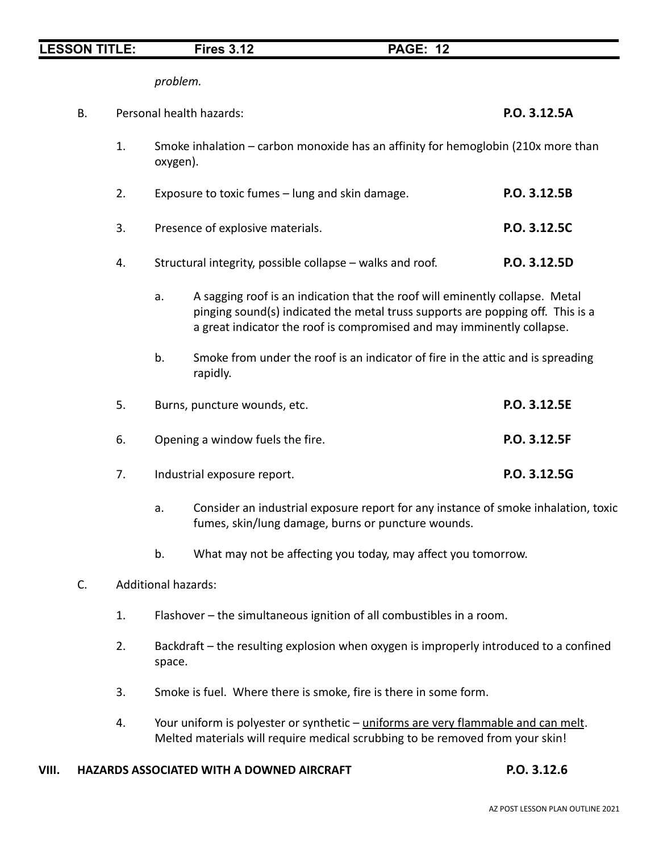*problem.*

| <b>B.</b> |    | Personal health hazards: | P.O. 3.12.5A                                                                                                                                                                                                                             |              |
|-----------|----|--------------------------|------------------------------------------------------------------------------------------------------------------------------------------------------------------------------------------------------------------------------------------|--------------|
|           | 1. | oxygen).                 | Smoke inhalation - carbon monoxide has an affinity for hemoglobin (210x more than                                                                                                                                                        |              |
|           | 2. |                          | Exposure to toxic fumes - lung and skin damage.                                                                                                                                                                                          | P.O. 3.12.5B |
|           | 3. |                          | Presence of explosive materials.                                                                                                                                                                                                         | P.O. 3.12.5C |
|           | 4. |                          | Structural integrity, possible collapse - walks and roof.                                                                                                                                                                                | P.O. 3.12.5D |
|           |    | a.                       | A sagging roof is an indication that the roof will eminently collapse. Metal<br>pinging sound(s) indicated the metal truss supports are popping off. This is a<br>a great indicator the roof is compromised and may imminently collapse. |              |
|           |    | b.                       | Smoke from under the roof is an indicator of fire in the attic and is spreading<br>rapidly.                                                                                                                                              |              |
|           | 5. |                          | Burns, puncture wounds, etc.                                                                                                                                                                                                             | P.O. 3.12.5E |
|           | 6. |                          | Opening a window fuels the fire.                                                                                                                                                                                                         | P.O. 3.12.5F |
|           | 7. |                          | Industrial exposure report.                                                                                                                                                                                                              | P.O. 3.12.5G |
|           |    | a.                       | Consider an industrial exposure report for any instance of smoke inhalation, toxic<br>fumes, skin/lung damage, burns or puncture wounds.                                                                                                 |              |

b. What may not be affecting you today, may affect you tomorrow.

# C. Additional hazards:

- 1. Flashover the simultaneous ignition of all combustibles in a room.
- 2. Backdraft the resulting explosion when oxygen is improperly introduced to a confined space.
- 3. Smoke is fuel. Where there is smoke, fire is there in some form.
- 4. Your uniform is polyester or synthetic uniforms are very flammable and can melt. Melted materials will require medical scrubbing to be removed from your skin!

## **VIII. HAZARDS ASSOCIATED WITH A DOWNED AIRCRAFT P.O. 3.12.6**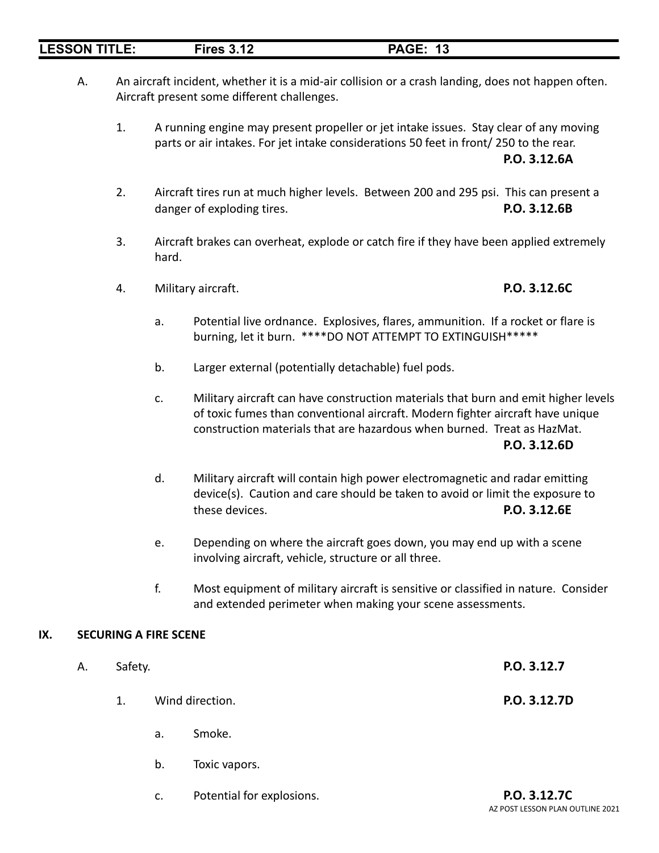# A. An aircraft incident, whether it is a mid-air collision or a crash landing, does not happen often. Aircraft present some different challenges.

1. A running engine may present propeller or jet intake issues. Stay clear of any moving parts or air intakes. For jet intake considerations 50 feet in front/ 250 to the rear. **P.O. 3.12.6A**

- 2. Aircraft tires run at much higher levels. Between 200 and 295 psi. This can present a danger of exploding tires. **P.O. 3.12.6B**
- 3. Aircraft brakes can overheat, explode or catch fire if they have been applied extremely hard.
- 4. Military aircraft. **P.O. 3.12.6C**

# a. Potential live ordnance. Explosives, flares, ammunition. If a rocket or flare is burning, let it burn. \*\*\*\*DO NOT ATTEMPT TO EXTINGUISH\*\*\*\*\*

- b. Larger external (potentially detachable) fuel pods.
- c. Military aircraft can have construction materials that burn and emit higher levels of toxic fumes than conventional aircraft. Modern fighter aircraft have unique construction materials that are hazardous when burned. Treat as HazMat. **P.O. 3.12.6D**
- d. Military aircraft will contain high power electromagnetic and radar emitting device(s). Caution and care should be taken to avoid or limit the exposure to these devices. **P.O. 3.12.6E**
- e. Depending on where the aircraft goes down, you may end up with a scene involving aircraft, vehicle, structure or all three.
- f. Most equipment of military aircraft is sensitive or classified in nature. Consider and extended perimeter when making your scene assessments.

# **IX. SECURING A FIRE SCENE**

| А. | Safety. | P.O. 3.12.7 |                 |              |
|----|---------|-------------|-----------------|--------------|
|    | 1.      |             | Wind direction. | P.O. 3.12.7D |
|    |         | a.          | Smoke.          |              |
|    |         | b.          | Toxic vapors.   |              |
|    |         |             |                 |              |

c. Potential for explosions. **P.O. 3.12.7C** AZ POST LESSON PLAN OUTLINE 2021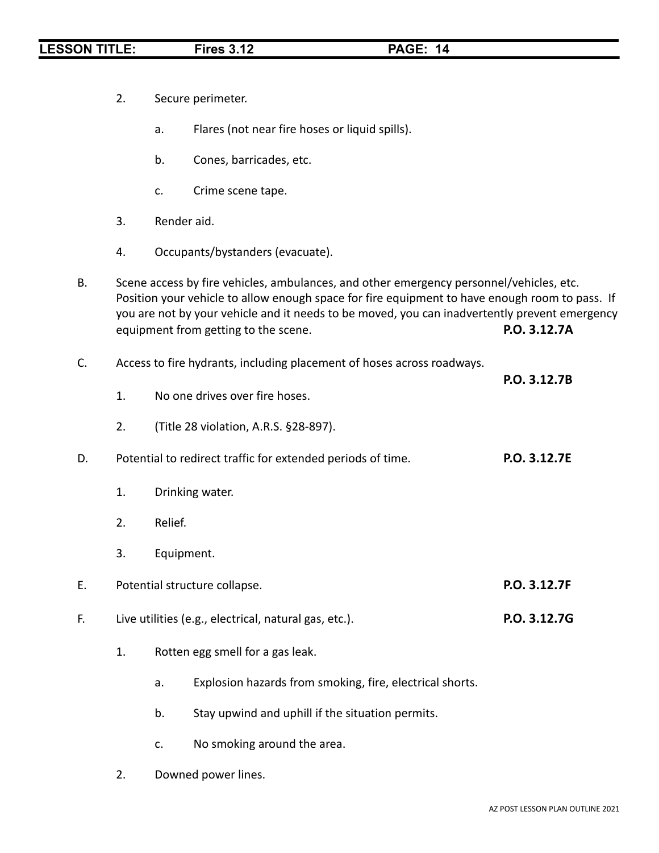|    | 2. |             | Secure perimeter.                                                                                                                                                                                                                                                                                                                  |              |
|----|----|-------------|------------------------------------------------------------------------------------------------------------------------------------------------------------------------------------------------------------------------------------------------------------------------------------------------------------------------------------|--------------|
|    |    | a.          | Flares (not near fire hoses or liquid spills).                                                                                                                                                                                                                                                                                     |              |
|    |    | b.          | Cones, barricades, etc.                                                                                                                                                                                                                                                                                                            |              |
|    |    | c.          | Crime scene tape.                                                                                                                                                                                                                                                                                                                  |              |
|    | 3. | Render aid. |                                                                                                                                                                                                                                                                                                                                    |              |
|    | 4. |             | Occupants/bystanders (evacuate).                                                                                                                                                                                                                                                                                                   |              |
| В. |    |             | Scene access by fire vehicles, ambulances, and other emergency personnel/vehicles, etc.<br>Position your vehicle to allow enough space for fire equipment to have enough room to pass. If<br>you are not by your vehicle and it needs to be moved, you can inadvertently prevent emergency<br>equipment from getting to the scene. | P.O. 3.12.7A |
| C. |    |             | Access to fire hydrants, including placement of hoses across roadways.                                                                                                                                                                                                                                                             |              |
|    | 1. |             | No one drives over fire hoses.                                                                                                                                                                                                                                                                                                     | P.O. 3.12.7B |
|    | 2. |             | (Title 28 violation, A.R.S. §28-897).                                                                                                                                                                                                                                                                                              |              |
| D. |    |             | Potential to redirect traffic for extended periods of time.                                                                                                                                                                                                                                                                        | P.O. 3.12.7E |
|    | 1. |             | Drinking water.                                                                                                                                                                                                                                                                                                                    |              |
|    | 2. | Relief.     |                                                                                                                                                                                                                                                                                                                                    |              |
|    | 3. | Equipment.  |                                                                                                                                                                                                                                                                                                                                    |              |
| Ε. |    |             | Potential structure collapse.                                                                                                                                                                                                                                                                                                      | P.O. 3.12.7F |
| F. |    |             | Live utilities (e.g., electrical, natural gas, etc.).                                                                                                                                                                                                                                                                              | P.O. 3.12.7G |
|    | 1. |             | Rotten egg smell for a gas leak.                                                                                                                                                                                                                                                                                                   |              |
|    |    | a.          | Explosion hazards from smoking, fire, electrical shorts.                                                                                                                                                                                                                                                                           |              |
|    |    | b.          | Stay upwind and uphill if the situation permits.                                                                                                                                                                                                                                                                                   |              |
|    |    | c.          | No smoking around the area.                                                                                                                                                                                                                                                                                                        |              |

2. Downed power lines.